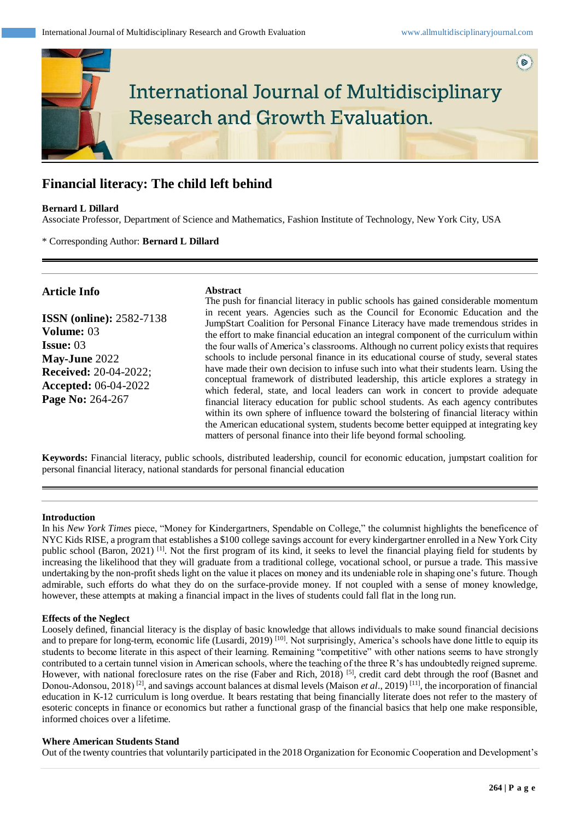

# **Financial literacy: The child left behind**

#### **Bernard L Dillard**

Associate Professor, Department of Science and Mathematics, Fashion Institute of Technology, New York City, USA

#### \* Corresponding Author: **Bernard L Dillard**

## **Article Info**

**ISSN (online):** 2582-7138 **Volume:** 03 **Issue:** 03 **May-June** 2022 **Received:** 20-04-2022; **Accepted:** 06-04-2022 **Page No:** 264-267

## **Abstract**

The push for financial literacy in public schools has gained considerable momentum in recent years. Agencies such as the Council for Economic Education and the JumpStart Coalition for Personal Finance Literacy have made tremendous strides in the effort to make financial education an integral component of the curriculum within the four walls of America's classrooms. Although no current policy exists that requires schools to include personal finance in its educational course of study, several states have made their own decision to infuse such into what their students learn. Using the conceptual framework of distributed leadership, this article explores a strategy in which federal, state, and local leaders can work in concert to provide adequate financial literacy education for public school students. As each agency contributes within its own sphere of influence toward the bolstering of financial literacy within the American educational system, students become better equipped at integrating key matters of personal finance into their life beyond formal schooling.

**Keywords:** Financial literacy, public schools, distributed leadership, council for economic education, jumpstart coalition for personal financial literacy, national standards for personal financial education

#### **Introduction**

In his *New York Times* piece, "Money for Kindergartners, Spendable on College," the columnist highlights the beneficence of NYC Kids RISE, a program that establishes a \$100 college savings account for every kindergartner enrolled in a New York City public school (Baron, 2021)<sup>[1]</sup>. Not the first program of its kind, it seeks to level the financial playing field for students by increasing the likelihood that they will graduate from a traditional college, vocational school, or pursue a trade. This massive undertaking by the non-profit sheds light on the value it places on money and its undeniable role in shaping one's future. Though admirable, such efforts do what they do on the surface-provide money. If not coupled with a sense of money knowledge, however, these attempts at making a financial impact in the lives of students could fall flat in the long run.

#### **Effects of the Neglect**

Loosely defined, financial literacy is the display of basic knowledge that allows individuals to make sound financial decisions and to prepare for long-term, economic life (Lusardi, 2019)<sup>[10]</sup>. Not surprisingly, America's schools have done little to equip its students to become literate in this aspect of their learning. Remaining "competitive" with other nations seems to have strongly contributed to a certain tunnel vision in American schools, where the teaching of the three R's has undoubtedly reigned supreme. However, with national foreclosure rates on the rise (Faber and Rich, 2018)<sup>[5]</sup>, credit card debt through the roof (Basnet and Donou-Adonsou, 2018)<sup>[2]</sup>, and savings account balances at dismal levels (Maison *et al.*, 2019)<sup>[11]</sup>, the incorporation of financial education in K-12 curriculum is long overdue. It bears restating that being financially literate does not refer to the mastery of esoteric concepts in finance or economics but rather a functional grasp of the financial basics that help one make responsible, informed choices over a lifetime.

#### **Where American Students Stand**

Out of the twenty countries that voluntarily participated in the 2018 Organization for Economic Cooperation and Development's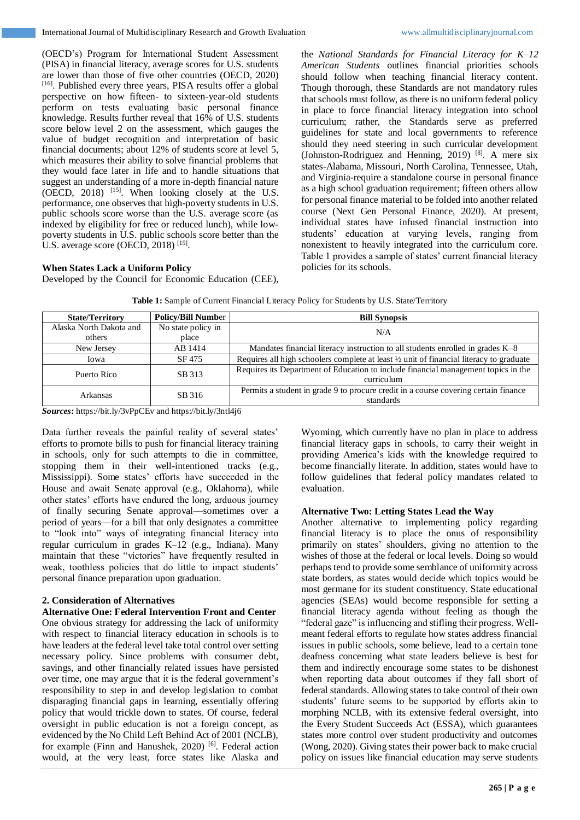(OECD's) Program for International Student Assessment (PISA) in financial literacy, average scores for U.S. students are lower than those of five other countries (OECD, 2020) [16] . Published every three years, PISA results offer a global perspective on how fifteen- to sixteen-year-old students perform on tests evaluating basic personal finance knowledge. Results further reveal that 16% of U.S. students score below level 2 on the assessment, which gauges the value of budget recognition and interpretation of basic financial documents; about 12% of students score at level 5, which measures their ability to solve financial problems that they would face later in life and to handle situations that suggest an understanding of a more in-depth financial nature (OECD, 2018)  $^{[15]}$ . When looking closely at the U.S. performance, one observes that high-poverty students in U.S. public schools score worse than the U.S. average score (as indexed by eligibility for free or reduced lunch), while lowpoverty students in U.S. public schools score better than the U.S. average score (OECD, 2018)<sup>[15]</sup>.

#### **When States Lack a Uniform Policy**

Developed by the Council for Economic Education (CEE),

the *National Standards for Financial Literacy for K–12 American Students* outlines financial priorities schools should follow when teaching financial literacy content. Though thorough, these Standards are not mandatory rules that schools must follow, as there is no uniform federal policy in place to force financial literacy integration into school curriculum; rather, the Standards serve as preferred guidelines for state and local governments to reference should they need steering in such curricular development (Johnston-Rodriguez and Henning, 2019) [8] . A mere six states-Alabama, Missouri, North Carolina, Tennessee, Utah, and Virginia-require a standalone course in personal finance as a high school graduation requirement; fifteen others allow for personal finance material to be folded into another related course (Next Gen Personal Finance, 2020). At present, individual states have infused financial instruction into students' education at varying levels, ranging from nonexistent to heavily integrated into the curriculum core. Table 1 provides a sample of states' current financial literacy policies for its schools.

**Table 1:** Sample of Current Financial Literacy Policy for Students by U.S. State/Territory

| <b>State/Territory</b>  | <b>Policy/Bill Number</b> | <b>Bill Synopsis</b>                                                                     |
|-------------------------|---------------------------|------------------------------------------------------------------------------------------|
| Alaska North Dakota and | No state policy in        | N/A                                                                                      |
| others                  | place                     |                                                                                          |
| New Jersey              | AB 1414                   | Mandates financial literacy instruction to all students enrolled in grades K–8           |
| Iowa                    | SF 475                    | Requires all high schoolers complete at least 1/2 unit of financial literacy to graduate |
| Puerto Rico             | SB 313                    | Requires its Department of Education to include financial management topics in the       |
|                         |                           | curriculum                                                                               |
| Arkansas                | SB 316                    | Permits a student in grade 9 to procure credit in a course covering certain finance      |
|                         |                           | standards                                                                                |

*Sources***:** https://bit.ly/3vPpCEv and https://bit.ly/3ntl4j6

Data further reveals the painful reality of several states' efforts to promote bills to push for financial literacy training in schools, only for such attempts to die in committee, stopping them in their well-intentioned tracks (e.g., Mississippi). Some states' efforts have succeeded in the House and await Senate approval (e.g., Oklahoma), while other states' efforts have endured the long, arduous journey of finally securing Senate approval––sometimes over a period of years––for a bill that only designates a committee to "look into" ways of integrating financial literacy into regular curriculum in grades K–12 (e.g., Indiana). Many maintain that these "victories" have frequently resulted in weak, toothless policies that do little to impact students' personal finance preparation upon graduation.

## **2. Consideration of Alternatives**

**Alternative One: Federal Intervention Front and Center** One obvious strategy for addressing the lack of uniformity with respect to financial literacy education in schools is to have leaders at the federal level take total control over setting necessary policy. Since problems with consumer debt, savings, and other financially related issues have persisted over time, one may argue that it is the federal government's responsibility to step in and develop legislation to combat disparaging financial gaps in learning, essentially offering policy that would trickle down to states. Of course, federal oversight in public education is not a foreign concept, as evidenced by the No Child Left Behind Act of 2001 (NCLB), for example (Finn and Hanushek, 2020)<sup>[6]</sup>. Federal action would, at the very least, force states like Alaska and

Wyoming, which currently have no plan in place to address financial literacy gaps in schools, to carry their weight in providing America's kids with the knowledge required to become financially literate. In addition, states would have to follow guidelines that federal policy mandates related to evaluation.

## **Alternative Two: Letting States Lead the Way**

Another alternative to implementing policy regarding financial literacy is to place the onus of responsibility primarily on states' shoulders, giving no attention to the wishes of those at the federal or local levels. Doing so would perhaps tend to provide some semblance of uniformity across state borders, as states would decide which topics would be most germane for its student constituency. State educational agencies (SEAs) would become responsible for setting a financial literacy agenda without feeling as though the "federal gaze" is influencing and stifling their progress. Wellmeant federal efforts to regulate how states address financial issues in public schools, some believe, lead to a certain tone deafness concerning what state leaders believe is best for them and indirectly encourage some states to be dishonest when reporting data about outcomes if they fall short of federal standards. Allowing states to take control of their own students' future seems to be supported by efforts akin to morphing NCLB, with its extensive federal oversight, into the Every Student Succeeds Act (ESSA), which guarantees states more control over student productivity and outcomes (Wong, 2020). Giving states their power back to make crucial policy on issues like financial education may serve students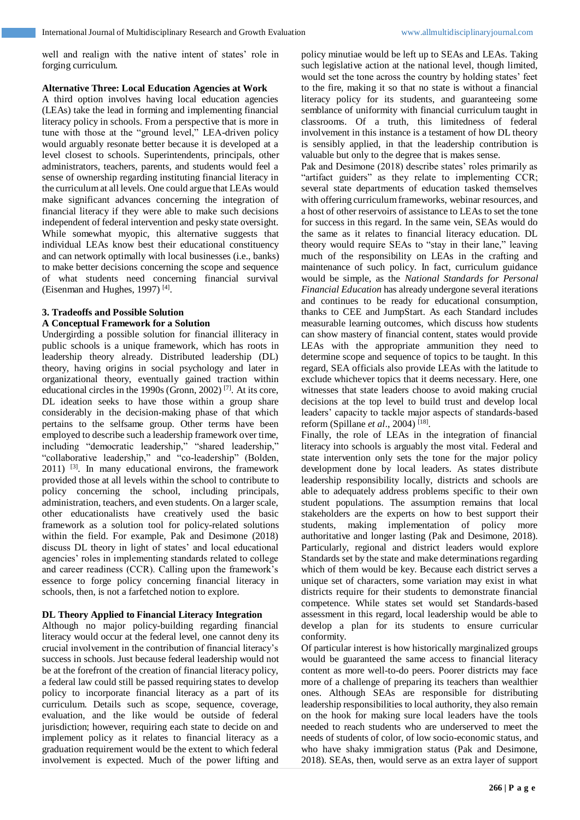well and realign with the native intent of states' role in forging curriculum.

#### **Alternative Three: Local Education Agencies at Work**

A third option involves having local education agencies (LEAs) take the lead in forming and implementing financial literacy policy in schools. From a perspective that is more in tune with those at the "ground level," LEA-driven policy would arguably resonate better because it is developed at a level closest to schools. Superintendents, principals, other administrators, teachers, parents, and students would feel a sense of ownership regarding instituting financial literacy in the curriculum at all levels. One could argue that LEAs would make significant advances concerning the integration of financial literacy if they were able to make such decisions independent of federal intervention and pesky state oversight. While somewhat myopic, this alternative suggests that individual LEAs know best their educational constituency and can network optimally with local businesses (i.e., banks) to make better decisions concerning the scope and sequence of what students need concerning financial survival (Eisenman and Hughes, 1997)<sup>[4]</sup>.

## **3. Tradeoffs and Possible Solution**

## **A Conceptual Framework for a Solution**

Undergirding a possible solution for financial illiteracy in public schools is a unique framework, which has roots in leadership theory already. Distributed leadership (DL) theory, having origins in social psychology and later in organizational theory, eventually gained traction within educational circles in the 1990s (Gronn, 2002)<sup>[7]</sup>. At its core, DL ideation seeks to have those within a group share considerably in the decision-making phase of that which pertains to the selfsame group. Other terms have been employed to describe such a leadership framework over time, including "democratic leadership," "shared leadership," "collaborative leadership," and "co-leadership" (Bolden,  $2011$ ) <sup>[3]</sup>. In many educational environs, the framework provided those at all levels within the school to contribute to policy concerning the school, including principals, administration, teachers, and even students. On a larger scale, other educationalists have creatively used the basic framework as a solution tool for policy-related solutions within the field. For example, Pak and Desimone (2018) discuss DL theory in light of states' and local educational agencies' roles in implementing standards related to college and career readiness (CCR). Calling upon the framework's essence to forge policy concerning financial literacy in schools, then, is not a farfetched notion to explore.

## **DL Theory Applied to Financial Literacy Integration**

Although no major policy-building regarding financial literacy would occur at the federal level, one cannot deny its crucial involvement in the contribution of financial literacy's success in schools. Just because federal leadership would not be at the forefront of the creation of financial literacy policy, a federal law could still be passed requiring states to develop policy to incorporate financial literacy as a part of its curriculum. Details such as scope, sequence, coverage, evaluation, and the like would be outside of federal jurisdiction; however, requiring each state to decide on and implement policy as it relates to financial literacy as a graduation requirement would be the extent to which federal involvement is expected. Much of the power lifting and

policy minutiae would be left up to SEAs and LEAs. Taking such legislative action at the national level, though limited, would set the tone across the country by holding states' feet to the fire, making it so that no state is without a financial literacy policy for its students, and guaranteeing some semblance of uniformity with financial curriculum taught in classrooms. Of a truth, this limitedness of federal involvement in this instance is a testament of how DL theory is sensibly applied, in that the leadership contribution is valuable but only to the degree that is makes sense.

Pak and Desimone (2018) describe states' roles primarily as "artifact guiders" as they relate to implementing CCR; several state departments of education tasked themselves with offering curriculum frameworks, webinar resources, and a host of other reservoirs of assistance to LEAs to set the tone for success in this regard. In the same vein, SEAs would do the same as it relates to financial literacy education. DL theory would require SEAs to "stay in their lane," leaving much of the responsibility on LEAs in the crafting and maintenance of such policy. In fact, curriculum guidance would be simple, as the *National Standards for Personal Financial Education* has already undergone several iterations and continues to be ready for educational consumption, thanks to CEE and JumpStart. As each Standard includes measurable learning outcomes, which discuss how students can show mastery of financial content, states would provide LEAs with the appropriate ammunition they need to determine scope and sequence of topics to be taught. In this regard, SEA officials also provide LEAs with the latitude to exclude whichever topics that it deems necessary. Here, one witnesses that state leaders choose to avoid making crucial decisions at the top level to build trust and develop local leaders' capacity to tackle major aspects of standards-based reform (Spillane *et al*., 2004) [18] .

Finally, the role of LEAs in the integration of financial literacy into schools is arguably the most vital. Federal and state intervention only sets the tone for the major policy development done by local leaders. As states distribute leadership responsibility locally, districts and schools are able to adequately address problems specific to their own student populations. The assumption remains that local stakeholders are the experts on how to best support their students, making implementation of policy more authoritative and longer lasting (Pak and Desimone, 2018). Particularly, regional and district leaders would explore Standards set by the state and make determinations regarding which of them would be key. Because each district serves a unique set of characters, some variation may exist in what districts require for their students to demonstrate financial competence. While states set would set Standards-based assessment in this regard, local leadership would be able to develop a plan for its students to ensure curricular conformity.

Of particular interest is how historically marginalized groups would be guaranteed the same access to financial literacy content as more well-to-do peers. Poorer districts may face more of a challenge of preparing its teachers than wealthier ones. Although SEAs are responsible for distributing leadership responsibilities to local authority, they also remain on the hook for making sure local leaders have the tools needed to reach students who are underserved to meet the needs of students of color, of low socio-economic status, and who have shaky immigration status (Pak and Desimone, 2018). SEAs, then, would serve as an extra layer of support